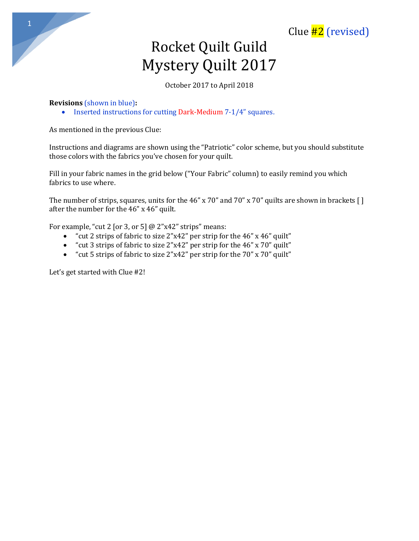Clue  $#2$  (revised)

# Rocket Quilt Guild Mystery Quilt 2017

October 2017 to April 2018

## **Revisions** (shown in blue)**:**

• Inserted instructions for cutting Dark-Medium 7-1/4" squares.

As mentioned in the previous Clue:

Instructions and diagrams are shown using the "Patriotic" color scheme, but you should substitute those colors with the fabrics you've chosen for your quilt.

Fill in your fabric names in the grid below ("Your Fabric" column) to easily remind you which fabrics to use where.

The number of strips, squares, units for the 46" x 70" and 70" x 70" quilts are shown in brackets [] after the number for the 46" x 46" quilt.

For example, "cut 2 [or 3, or 5]  $@ 2"x42"$  strips" means:

- "cut 2 strips of fabric to size 2"x42" per strip for the 46" x 46" quilt"
- "cut 3 strips of fabric to size 2"x42" per strip for the 46" x 70" quilt"
- "cut 5 strips of fabric to size 2"x42" per strip for the 70" x 70" quilt"

Let's get started with Clue #2!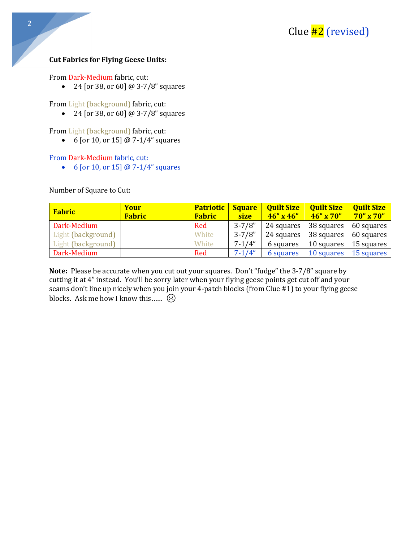#### **Cut Fabrics for Flying Geese Units:**

From Dark-Medium fabric, cut:

• 24 [or 38, or 60] @ 3-7/8" squares

From Light (background) fabric, cut:

• 24 [or 38, or 60] @ 3-7/8" squares

From Light (background) fabric, cut:

• 6 [or 10, or 15] @ 7-1/4" squares

#### From Dark-Medium fabric, cut:

• 6 [or 10, or 15]  $@ 7-1/4"$  squares

Number of Square to Cut:

| <b>Fabric</b>      | Your<br><b>Fabric</b> | <b>Patriotic</b><br><b>Fabric</b> | <b>Square</b><br><b>size</b> | <b>Quilt Size</b><br>$46'' \times 46''$ | <b>Quilt Size</b><br>$46'' \times 70''$ | <b>Quilt Size</b><br>$70'' \times 70''$ |
|--------------------|-----------------------|-----------------------------------|------------------------------|-----------------------------------------|-----------------------------------------|-----------------------------------------|
| Dark-Medium        |                       | Red                               | $3 - 7/8"$                   | 24 squares                              | 38 squares                              | 60 squares                              |
| Light (background) |                       | White                             | $3 - 7/8"$                   | 24 squares                              | 38 squares                              | 60 squares                              |
| Light (background) |                       | White                             | $7 - 1/4"$                   | 6 squares                               | 10 squares                              | 15 squares                              |
| Dark-Medium        |                       | Red                               | $7 - 1/4"$                   | 6 squares                               | 10 squares                              | 15 squares                              |

**Note:** Please be accurate when you cut out your squares. Don't "fudge" the 3-7/8" square by cutting it at 4" instead. You'll be sorry later when your flying geese points get cut off and your seams don't line up nicely when you join your 4-patch blocks (from Clue #1) to your flying geese blocks. Ask me how I know this ......  $\odot$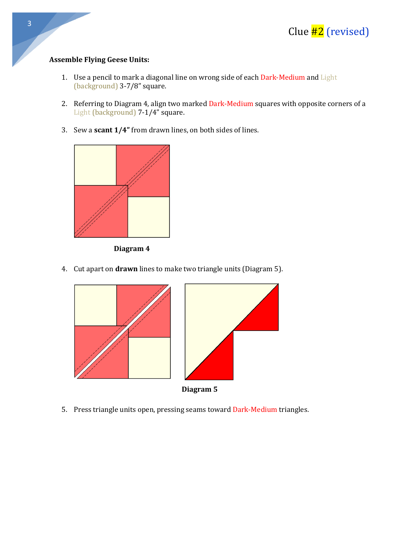### **Assemble Flying Geese Units:**

- 1. Use a pencil to mark a diagonal line on wrong side of each Dark-Medium and Light (background) 3-7/8" square.
- 2. Referring to Diagram 4, align two marked Dark-Medium squares with opposite corners of a Light (background) 7-1/4" square.
- 3. Sew a **scant 1/4"** from drawn lines, on both sides of lines.



**Diagram 4**

4. Cut apart on **drawn** lines to make two triangle units (Diagram 5).



5. Press triangle units open, pressing seams toward Dark-Medium triangles.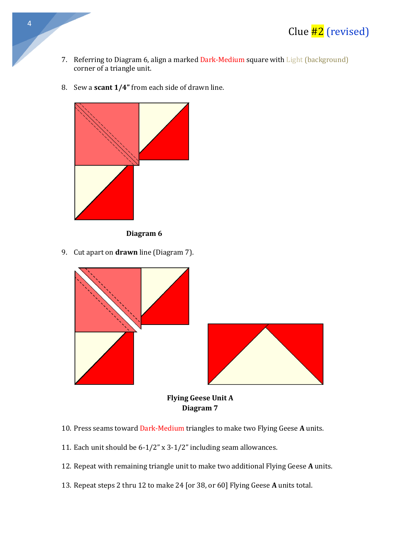

- 7. Referring to Diagram 6, align a marked Dark-Medium square with Light (background) corner of a triangle unit.
- 8. Sew a **scant 1/4"** from each side of drawn line.



**Diagram 6**

9. Cut apart on **drawn** line (Diagram 7).



**Diagram 7**

- 10. Press seams toward Dark-Medium triangles to make two Flying Geese **A** units.
- 11. Each unit should be 6-1/2" x 3-1/2" including seam allowances.
- 12. Repeat with remaining triangle unit to make two additional Flying Geese **A** units.
- 13. Repeat steps 2 thru 12 to make 24 [or 38, or 60] Flying Geese **A** units total.